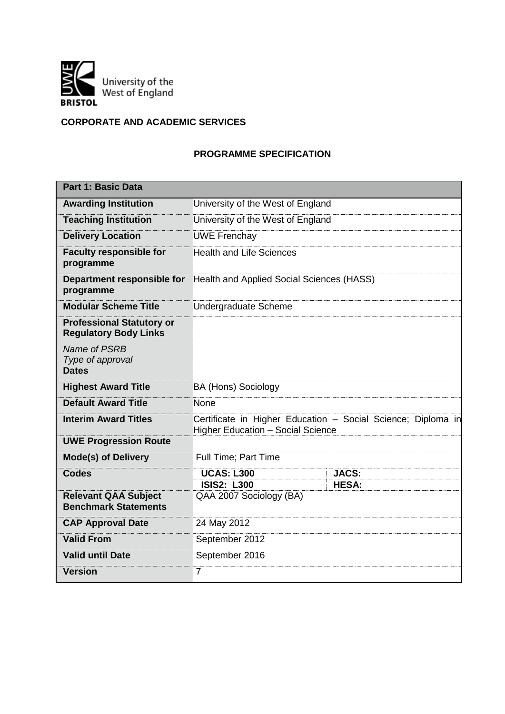

# **CORPORATE AND ACADEMIC SERVICES**

## **PROGRAMME SPECIFICATION**

| <b>Part 1: Basic Data</b>                                        |                                                                                                                                                                                                                                                                                                                                                                                                                                                                                      |  |  |  |  |  |
|------------------------------------------------------------------|--------------------------------------------------------------------------------------------------------------------------------------------------------------------------------------------------------------------------------------------------------------------------------------------------------------------------------------------------------------------------------------------------------------------------------------------------------------------------------------|--|--|--|--|--|
| <b>Awarding Institution</b>                                      |                                                                                                                                                                                                                                                                                                                                                                                                                                                                                      |  |  |  |  |  |
| <b>Teaching Institution</b>                                      |                                                                                                                                                                                                                                                                                                                                                                                                                                                                                      |  |  |  |  |  |
| <b>Delivery Location</b>                                         | <b>JACS:</b><br><b>HESA:</b>                                                                                                                                                                                                                                                                                                                                                                                                                                                         |  |  |  |  |  |
| <b>Faculty responsible for</b><br>programme                      | University of the West of England<br>University of the West of England<br><b>UWE Frenchay</b><br><b>Health and Life Sciences</b><br>Undergraduate Scheme<br><b>BA (Hons) Sociology</b><br>None<br>Certificate in Higher Education - Social Science; Diploma in<br><b>Higher Education - Social Science</b><br><b>Full Time; Part Time</b><br><b>UCAS: L300</b><br><b>ISIS2: L300</b><br>QAA 2007 Sociology (BA)<br>24 May 2012<br>September 2012<br>September 2016<br>$\overline{7}$ |  |  |  |  |  |
| Department responsible for<br>programme                          |                                                                                                                                                                                                                                                                                                                                                                                                                                                                                      |  |  |  |  |  |
| <b>Modular Scheme Title</b>                                      |                                                                                                                                                                                                                                                                                                                                                                                                                                                                                      |  |  |  |  |  |
| <b>Professional Statutory or</b><br><b>Regulatory Body Links</b> |                                                                                                                                                                                                                                                                                                                                                                                                                                                                                      |  |  |  |  |  |
| Name of PSRB<br>Type of approval<br><b>Dates</b>                 |                                                                                                                                                                                                                                                                                                                                                                                                                                                                                      |  |  |  |  |  |
| <b>Highest Award Title</b>                                       |                                                                                                                                                                                                                                                                                                                                                                                                                                                                                      |  |  |  |  |  |
| <b>Default Award Title</b>                                       |                                                                                                                                                                                                                                                                                                                                                                                                                                                                                      |  |  |  |  |  |
| <b>Interim Award Titles</b>                                      |                                                                                                                                                                                                                                                                                                                                                                                                                                                                                      |  |  |  |  |  |
| <b>UWE Progression Route</b>                                     |                                                                                                                                                                                                                                                                                                                                                                                                                                                                                      |  |  |  |  |  |
| <b>Mode(s) of Delivery</b>                                       |                                                                                                                                                                                                                                                                                                                                                                                                                                                                                      |  |  |  |  |  |
| <b>Codes</b>                                                     |                                                                                                                                                                                                                                                                                                                                                                                                                                                                                      |  |  |  |  |  |
| <b>Relevant QAA Subject</b><br><b>Benchmark Statements</b>       |                                                                                                                                                                                                                                                                                                                                                                                                                                                                                      |  |  |  |  |  |
| <b>CAP Approval Date</b>                                         |                                                                                                                                                                                                                                                                                                                                                                                                                                                                                      |  |  |  |  |  |
| <b>Valid From</b>                                                |                                                                                                                                                                                                                                                                                                                                                                                                                                                                                      |  |  |  |  |  |
| <b>Valid until Date</b>                                          |                                                                                                                                                                                                                                                                                                                                                                                                                                                                                      |  |  |  |  |  |
| <b>Version</b>                                                   | Health and Applied Social Sciences (HASS)                                                                                                                                                                                                                                                                                                                                                                                                                                            |  |  |  |  |  |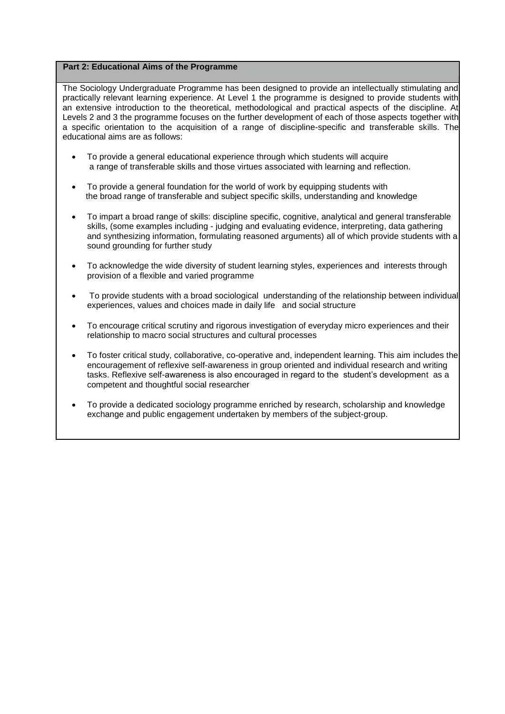#### **Part 2: Educational Aims of the Programme**

The Sociology Undergraduate Programme has been designed to provide an intellectually stimulating and practically relevant learning experience. At Level 1 the programme is designed to provide students with an extensive introduction to the theoretical, methodological and practical aspects of the discipline. At Levels 2 and 3 the programme focuses on the further development of each of those aspects together with a specific orientation to the acquisition of a range of discipline-specific and transferable skills. The educational aims are as follows:

- To provide a general educational experience through which students will acquire a range of transferable skills and those virtues associated with learning and reflection.
- To provide a general foundation for the world of work by equipping students with the broad range of transferable and subject specific skills, understanding and knowledge
- To impart a broad range of skills: discipline specific, cognitive, analytical and general transferable skills, (some examples including - judging and evaluating evidence, interpreting, data gathering and synthesizing information, formulating reasoned arguments) all of which provide students with a sound grounding for further study
- To acknowledge the wide diversity of student learning styles, experiences and interests through provision of a flexible and varied programme
- To provide students with a broad sociological understanding of the relationship between individual experiences, values and choices made in daily life and social structure
- To encourage critical scrutiny and rigorous investigation of everyday micro experiences and their relationship to macro social structures and cultural processes
- To foster critical study, collaborative, co-operative and, independent learning. This aim includes the encouragement of reflexive self-awareness in group oriented and individual research and writing tasks. Reflexive self-awareness is also encouraged in regard to the student's development as a competent and thoughtful social researcher
- To provide a dedicated sociology programme enriched by research, scholarship and knowledge exchange and public engagement undertaken by members of the subject-group.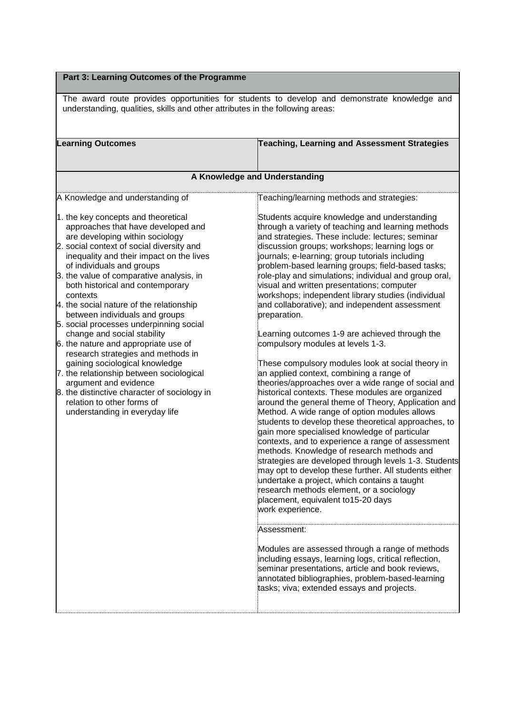## **Part 3: Learning Outcomes of the Programme**

The award route provides opportunities for students to develop and demonstrate knowledge and understanding, qualities, skills and other attributes in the following areas:

| <b>Learning Outcomes</b>                                                                                                                                                                                                                                                                                                                                                                                                                                                                                                                                                                                                                                                                                                                                                                    | Teaching, Learning and Assessment Strategies                                                                                                                                                                                                                                                                                                                                                                                                                                                                                                                                                                                                                                                                                                                                                                                                                                                                                                                                                                                                                                                                                                                                                                                                                                                                                                                                                                                                                                                                                                                                                                                                                                                                                    |
|---------------------------------------------------------------------------------------------------------------------------------------------------------------------------------------------------------------------------------------------------------------------------------------------------------------------------------------------------------------------------------------------------------------------------------------------------------------------------------------------------------------------------------------------------------------------------------------------------------------------------------------------------------------------------------------------------------------------------------------------------------------------------------------------|---------------------------------------------------------------------------------------------------------------------------------------------------------------------------------------------------------------------------------------------------------------------------------------------------------------------------------------------------------------------------------------------------------------------------------------------------------------------------------------------------------------------------------------------------------------------------------------------------------------------------------------------------------------------------------------------------------------------------------------------------------------------------------------------------------------------------------------------------------------------------------------------------------------------------------------------------------------------------------------------------------------------------------------------------------------------------------------------------------------------------------------------------------------------------------------------------------------------------------------------------------------------------------------------------------------------------------------------------------------------------------------------------------------------------------------------------------------------------------------------------------------------------------------------------------------------------------------------------------------------------------------------------------------------------------------------------------------------------------|
|                                                                                                                                                                                                                                                                                                                                                                                                                                                                                                                                                                                                                                                                                                                                                                                             | A Knowledge and Understanding                                                                                                                                                                                                                                                                                                                                                                                                                                                                                                                                                                                                                                                                                                                                                                                                                                                                                                                                                                                                                                                                                                                                                                                                                                                                                                                                                                                                                                                                                                                                                                                                                                                                                                   |
| A Knowledge and understanding of                                                                                                                                                                                                                                                                                                                                                                                                                                                                                                                                                                                                                                                                                                                                                            | Teaching/learning methods and strategies:                                                                                                                                                                                                                                                                                                                                                                                                                                                                                                                                                                                                                                                                                                                                                                                                                                                                                                                                                                                                                                                                                                                                                                                                                                                                                                                                                                                                                                                                                                                                                                                                                                                                                       |
| 1. the key concepts and theoretical<br>approaches that have developed and<br>are developing within sociology<br>2. social context of social diversity and<br>inequality and their impact on the lives<br>of individuals and groups<br>3. the value of comparative analysis, in<br>both historical and contemporary<br>contexts<br>4. the social nature of the relationship<br>between individuals and groups<br>5. social processes underpinning social<br>change and social stability<br>6. the nature and appropriate use of<br>research strategies and methods in<br>gaining sociological knowledge<br>7. the relationship between sociological<br>argument and evidence<br>8. the distinctive character of sociology in<br>relation to other forms of<br>understanding in everyday life | Students acquire knowledge and understanding<br>through a variety of teaching and learning methods<br>and strategies. These include: lectures; seminar<br>discussion groups; workshops; learning logs or<br>journals; e-learning; group tutorials including<br>problem-based learning groups; field-based tasks;<br>role-play and simulations; individual and group oral,<br>visual and written presentations; computer<br>workshops; independent library studies (individual<br>and collaborative); and independent assessment<br>preparation.<br>Learning outcomes 1-9 are achieved through the<br>compulsory modules at levels 1-3.<br>These compulsory modules look at social theory in<br>an applied context, combining a range of<br>theories/approaches over a wide range of social and<br>historical contexts. These modules are organized<br>around the general theme of Theory, Application and<br>Method. A wide range of option modules allows<br>students to develop these theoretical approaches, to<br>gain more specialised knowledge of particular<br>contexts, and to experience a range of assessment<br>methods. Knowledge of research methods and<br>strategies are developed through levels 1-3. Students<br>may opt to develop these further. All students either<br>undertake a project, which contains a taught<br>research methods element, or a sociology<br>placement, equivalent to15-20 days<br>work experience.<br>Assessment:<br>Modules are assessed through a range of methods<br>including essays, learning logs, critical reflection,<br>seminar presentations, article and book reviews,<br>annotated bibliographies, problem-based-learning<br>tasks; viva; extended essays and projects. |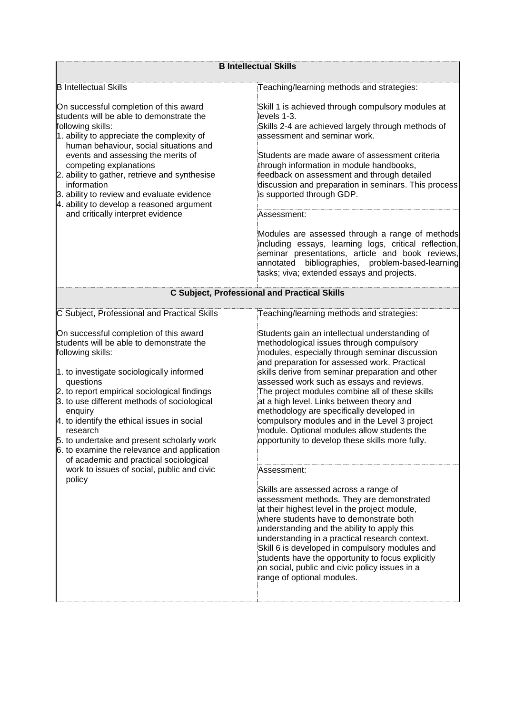|                                                                                                                                                                                                                                                                                                                                                                                                                                                                               | <b>B Intellectual Skills</b><br>Teaching/learning methods and strategies:<br>Skill 1 is achieved through compulsory modules at<br>levels 1-3.<br>Skills 2-4 are achieved largely through methods of<br>assessment and seminar work.<br>Students are made aware of assessment criteria<br>through information in module handbooks,<br>feedback on assessment and through detailed<br>discussion and preparation in seminars. This process<br>is supported through GDP.<br>Assessment:<br>Modules are assessed through a range of methods<br>including essays, learning logs, critical reflection,<br>seminar presentations, article and book reviews,<br>bibliographies, problem-based-learning<br>annotated<br>tasks; viva; extended essays and projects.<br><b>C Subject, Professional and Practical Skills</b><br>Teaching/learning methods and strategies:<br>Students gain an intellectual understanding of<br>methodological issues through compulsory<br>modules, especially through seminar discussion<br>and preparation for assessed work. Practical<br>skills derive from seminar preparation and other<br>assessed work such as essays and reviews.<br>The project modules combine all of these skills<br>at a high level. Links between theory and<br>methodology are specifically developed in<br>compulsory modules and in the Level 3 project<br>module. Optional modules allow students the<br>opportunity to develop these skills more fully.<br>Assessment:<br>Skills are assessed across a range of<br>assessment methods. They are demonstrated<br>at their highest level in the project module,<br>where students have to demonstrate both<br>understanding and the ability to apply this<br>understanding in a practical research context.<br>Skill 6 is developed in compulsory modules and<br>students have the opportunity to focus explicitly<br>on social, public and civic policy issues in a<br>range of optional modules. |  |  |  |
|-------------------------------------------------------------------------------------------------------------------------------------------------------------------------------------------------------------------------------------------------------------------------------------------------------------------------------------------------------------------------------------------------------------------------------------------------------------------------------|---------------------------------------------------------------------------------------------------------------------------------------------------------------------------------------------------------------------------------------------------------------------------------------------------------------------------------------------------------------------------------------------------------------------------------------------------------------------------------------------------------------------------------------------------------------------------------------------------------------------------------------------------------------------------------------------------------------------------------------------------------------------------------------------------------------------------------------------------------------------------------------------------------------------------------------------------------------------------------------------------------------------------------------------------------------------------------------------------------------------------------------------------------------------------------------------------------------------------------------------------------------------------------------------------------------------------------------------------------------------------------------------------------------------------------------------------------------------------------------------------------------------------------------------------------------------------------------------------------------------------------------------------------------------------------------------------------------------------------------------------------------------------------------------------------------------------------------------------------------------------------------------------------------------------------------------------------|--|--|--|
| <b>B</b> Intellectual Skills                                                                                                                                                                                                                                                                                                                                                                                                                                                  |                                                                                                                                                                                                                                                                                                                                                                                                                                                                                                                                                                                                                                                                                                                                                                                                                                                                                                                                                                                                                                                                                                                                                                                                                                                                                                                                                                                                                                                                                                                                                                                                                                                                                                                                                                                                                                                                                                                                                         |  |  |  |
| On successful completion of this award<br>students will be able to demonstrate the<br>following skills:<br>1. ability to appreciate the complexity of<br>human behaviour, social situations and<br>events and assessing the merits of<br>competing explanations<br>2. ability to gather, retrieve and synthesise<br>information<br>3. ability to review and evaluate evidence<br>4. ability to develop a reasoned argument<br>and critically interpret evidence               |                                                                                                                                                                                                                                                                                                                                                                                                                                                                                                                                                                                                                                                                                                                                                                                                                                                                                                                                                                                                                                                                                                                                                                                                                                                                                                                                                                                                                                                                                                                                                                                                                                                                                                                                                                                                                                                                                                                                                         |  |  |  |
|                                                                                                                                                                                                                                                                                                                                                                                                                                                                               |                                                                                                                                                                                                                                                                                                                                                                                                                                                                                                                                                                                                                                                                                                                                                                                                                                                                                                                                                                                                                                                                                                                                                                                                                                                                                                                                                                                                                                                                                                                                                                                                                                                                                                                                                                                                                                                                                                                                                         |  |  |  |
|                                                                                                                                                                                                                                                                                                                                                                                                                                                                               |                                                                                                                                                                                                                                                                                                                                                                                                                                                                                                                                                                                                                                                                                                                                                                                                                                                                                                                                                                                                                                                                                                                                                                                                                                                                                                                                                                                                                                                                                                                                                                                                                                                                                                                                                                                                                                                                                                                                                         |  |  |  |
| C Subject, Professional and Practical Skills                                                                                                                                                                                                                                                                                                                                                                                                                                  |                                                                                                                                                                                                                                                                                                                                                                                                                                                                                                                                                                                                                                                                                                                                                                                                                                                                                                                                                                                                                                                                                                                                                                                                                                                                                                                                                                                                                                                                                                                                                                                                                                                                                                                                                                                                                                                                                                                                                         |  |  |  |
| On successful completion of this award<br>students will be able to demonstrate the<br>following skills:<br>1. to investigate sociologically informed<br>questions<br>2. to report empirical sociological findings<br>3. to use different methods of sociological<br>enquiry<br>4. to identify the ethical issues in social<br>research<br>5. to undertake and present scholarly work<br>6. to examine the relevance and application<br>of academic and practical sociological |                                                                                                                                                                                                                                                                                                                                                                                                                                                                                                                                                                                                                                                                                                                                                                                                                                                                                                                                                                                                                                                                                                                                                                                                                                                                                                                                                                                                                                                                                                                                                                                                                                                                                                                                                                                                                                                                                                                                                         |  |  |  |
| work to issues of social, public and civic<br>policy                                                                                                                                                                                                                                                                                                                                                                                                                          |                                                                                                                                                                                                                                                                                                                                                                                                                                                                                                                                                                                                                                                                                                                                                                                                                                                                                                                                                                                                                                                                                                                                                                                                                                                                                                                                                                                                                                                                                                                                                                                                                                                                                                                                                                                                                                                                                                                                                         |  |  |  |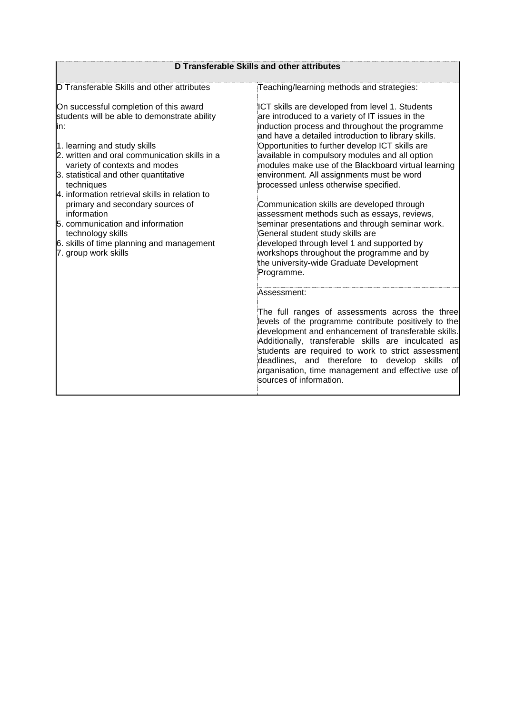|                                                                                                                                                                                                                                                                                                                                                                                                                                                                                                            | D Transferable Skills and other attributes                                                                                                                                                                                                                                                                                                                                                                                                                                                                                                                                                                                                                                                                                                                                                             |
|------------------------------------------------------------------------------------------------------------------------------------------------------------------------------------------------------------------------------------------------------------------------------------------------------------------------------------------------------------------------------------------------------------------------------------------------------------------------------------------------------------|--------------------------------------------------------------------------------------------------------------------------------------------------------------------------------------------------------------------------------------------------------------------------------------------------------------------------------------------------------------------------------------------------------------------------------------------------------------------------------------------------------------------------------------------------------------------------------------------------------------------------------------------------------------------------------------------------------------------------------------------------------------------------------------------------------|
| D Transferable Skills and other attributes                                                                                                                                                                                                                                                                                                                                                                                                                                                                 | Teaching/learning methods and strategies:                                                                                                                                                                                                                                                                                                                                                                                                                                                                                                                                                                                                                                                                                                                                                              |
| On successful completion of this award<br>students will be able to demonstrate ability<br>lin:<br>1. learning and study skills<br>2. written and oral communication skills in a<br>variety of contexts and modes<br>3. statistical and other quantitative<br>techniques<br>4. information retrieval skills in relation to<br>primary and secondary sources of<br>information<br>5. communication and information<br>technology skills<br>6. skills of time planning and management<br>7. group work skills | ICT skills are developed from level 1. Students<br>are introduced to a variety of IT issues in the<br>induction process and throughout the programme<br>and have a detailed introduction to library skills.<br>Opportunities to further develop ICT skills are<br>available in compulsory modules and all option<br>modules make use of the Blackboard virtual learning<br>environment. All assignments must be word<br>processed unless otherwise specified.<br>Communication skills are developed through<br>assessment methods such as essays, reviews,<br>seminar presentations and through seminar work.<br>General student study skills are<br>developed through level 1 and supported by<br>workshops throughout the programme and by<br>the university-wide Graduate Development<br>Programme. |
|                                                                                                                                                                                                                                                                                                                                                                                                                                                                                                            | Assessment:<br>The full ranges of assessments across the three<br>levels of the programme contribute positively to the<br>development and enhancement of transferable skills.<br>Additionally, transferable skills are inculcated as<br>students are required to work to strict assessment<br>deadlines, and therefore to develop skills of<br>organisation, time management and effective use of<br>sources of information.                                                                                                                                                                                                                                                                                                                                                                           |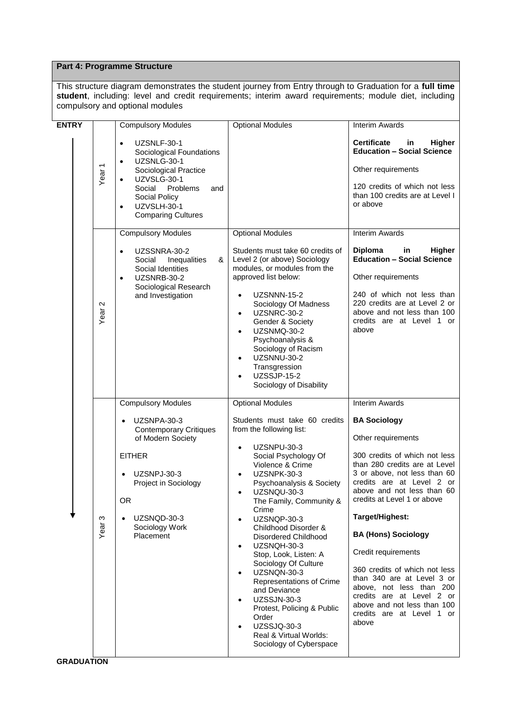### **Part 4: Programme Structure**

This structure diagram demonstrates the student journey from Entry through to Graduation for a **full time student**, including: level and credit requirements; interim award requirements; module diet, including compulsory and optional modules

| <b>ENTRY</b> |                   | <b>Compulsory Modules</b>                                                                                                                                                                                                                    | <b>Optional Modules</b>                                                                                                                                                                                                                                                                                                                                                                                                                                                                                                                                                                                                            | <b>Interim Awards</b>                                                                                                                                                                                                                                                                                                                                                                                                                                                                                      |
|--------------|-------------------|----------------------------------------------------------------------------------------------------------------------------------------------------------------------------------------------------------------------------------------------|------------------------------------------------------------------------------------------------------------------------------------------------------------------------------------------------------------------------------------------------------------------------------------------------------------------------------------------------------------------------------------------------------------------------------------------------------------------------------------------------------------------------------------------------------------------------------------------------------------------------------------|------------------------------------------------------------------------------------------------------------------------------------------------------------------------------------------------------------------------------------------------------------------------------------------------------------------------------------------------------------------------------------------------------------------------------------------------------------------------------------------------------------|
|              | Year <sub>1</sub> | UZSNLF-30-1<br>$\bullet$<br>Sociological Foundations<br>UZSNLG-30-1<br>$\bullet$<br>Sociological Practice<br>UZVSLG-30-1<br>$\bullet$<br>Social<br>Problems<br>and<br>Social Policy<br>UZVSLH-30-1<br>$\bullet$<br><b>Comparing Cultures</b> |                                                                                                                                                                                                                                                                                                                                                                                                                                                                                                                                                                                                                                    | <b>Certificate</b><br>in<br>Higher<br><b>Education - Social Science</b><br>Other requirements<br>120 credits of which not less<br>than 100 credits are at Level I<br>or above                                                                                                                                                                                                                                                                                                                              |
|              |                   | <b>Compulsory Modules</b>                                                                                                                                                                                                                    | <b>Optional Modules</b>                                                                                                                                                                                                                                                                                                                                                                                                                                                                                                                                                                                                            | <b>Interim Awards</b>                                                                                                                                                                                                                                                                                                                                                                                                                                                                                      |
|              | Year <sub>2</sub> | UZSSNRA-30-2<br>$\bullet$<br>&<br>Inequalities<br>Social<br>Social Identities<br>UZSNRB-30-2<br>$\bullet$<br>Sociological Research<br>and Investigation                                                                                      | Students must take 60 credits of<br>Level 2 (or above) Sociology<br>modules, or modules from the<br>approved list below:<br>UZSNNN-15-2<br>$\bullet$<br>Sociology Of Madness<br>UZSNRC-30-2<br>$\bullet$<br>Gender & Society<br>UZSNMQ-30-2<br>Psychoanalysis &<br>Sociology of Racism<br>UZSNNU-30-2<br>$\bullet$<br>Transgression<br>UZSSJP-15-2<br>$\bullet$<br>Sociology of Disability                                                                                                                                                                                                                                         | <b>Diploma</b><br>in<br>Higher<br><b>Education - Social Science</b><br>Other requirements<br>240 of which not less than<br>220 credits are at Level 2 or<br>above and not less than 100<br>credits are at Level 1 or<br>above                                                                                                                                                                                                                                                                              |
|              |                   | <b>Compulsory Modules</b>                                                                                                                                                                                                                    | <b>Optional Modules</b>                                                                                                                                                                                                                                                                                                                                                                                                                                                                                                                                                                                                            | <b>Interim Awards</b>                                                                                                                                                                                                                                                                                                                                                                                                                                                                                      |
|              | ო<br>Year         | UZSNPA-30-3<br><b>Contemporary Critiques</b><br>of Modern Society<br><b>EITHER</b><br>UZSNPJ-30-3<br>Project in Sociology<br>OК<br>UZSNQD-30-3<br>$\bullet$<br>Sociology Work<br>Placement                                                   | Students must take 60 credits<br>from the following list:<br>UZSNPU-30-3<br>$\bullet$<br>Social Psychology Of<br>Violence & Crime<br>UZSNPK-30-3<br>Psychoanalysis & Society<br>UZSNQU-30-3<br>$\bullet$<br>The Family, Community &<br>Crime<br>UZSNQP-30-3<br>$\bullet$<br>Childhood Disorder &<br>Disordered Childhood<br>UZSNQH-30-3<br>$\bullet$<br>Stop, Look, Listen: A<br>Sociology Of Culture<br>UZSNQN-30-3<br>$\bullet$<br>Representations of Crime<br>and Deviance<br><b>UZSSJN-30-3</b><br>$\bullet$<br>Protest, Policing & Public<br>Order<br><b>UZSSJQ-30-3</b><br>Real & Virtual Worlds:<br>Sociology of Cyberspace | <b>BA Sociology</b><br>Other requirements<br>300 credits of which not less<br>than 280 credits are at Level<br>3 or above, not less than 60<br>credits are at Level 2 or<br>above and not less than 60<br>credits at Level 1 or above<br>Target/Highest:<br><b>BA (Hons) Sociology</b><br>Credit requirements<br>360 credits of which not less<br>than 340 are at Level 3 or<br>above, not less than 200<br>credits are at Level 2 or<br>above and not less than 100<br>credits are at Level 1 or<br>above |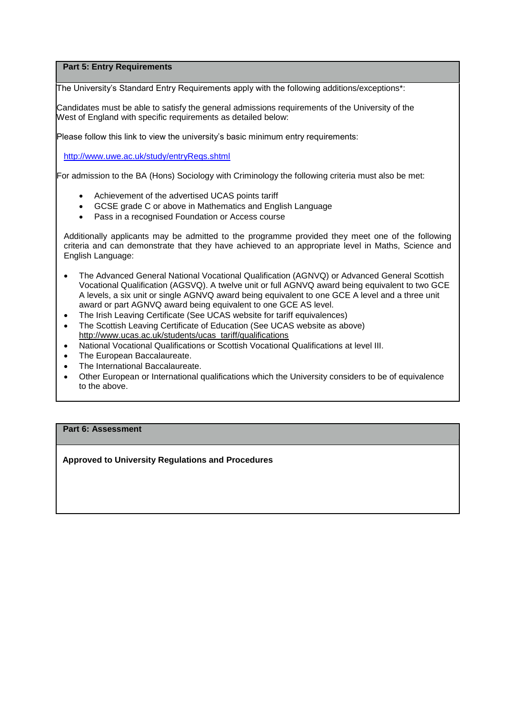#### **Part 5: Entry Requirements**

The University's Standard Entry Requirements apply with the following additions/exceptions\*:

Candidates must be able to satisfy the general admissions requirements of the University of the West of England with specific requirements as detailed below:

Please follow this link to view the university's basic minimum entry requirements:

<http://www.uwe.ac.uk/study/entryReqs.shtml>

For admission to the BA (Hons) Sociology with Criminology the following criteria must also be met:

- Achievement of the advertised UCAS points tariff
- GCSE grade C or above in Mathematics and English Language
- Pass in a recognised Foundation or Access course

Additionally applicants may be admitted to the programme provided they meet one of the following criteria and can demonstrate that they have achieved to an appropriate level in Maths, Science and English Language:

- The Advanced General National Vocational Qualification (AGNVQ) or Advanced General Scottish Vocational Qualification (AGSVQ). A twelve unit or full AGNVQ award being equivalent to two GCE A levels, a six unit or single AGNVQ award being equivalent to one GCE A level and a three unit award or part AGNVQ award being equivalent to one GCE AS level.
- The Irish Leaving Certificate (See UCAS website for tariff equivalences)
- The Scottish Leaving Certificate of Education (See UCAS website as above) [http://www.ucas.ac.uk/students/ucas\\_tariff/qualifications](http://www.ucas.ac.uk/students/ucas_tariff/qualifications)
- National Vocational Qualifications or Scottish Vocational Qualifications at level III.
- The European Baccalaureate.
- The International Baccalaureate.
- Other European or International qualifications which the University considers to be of equivalence to the above.

### **Part 6: Assessment**

**Approved to University Regulations and Procedures**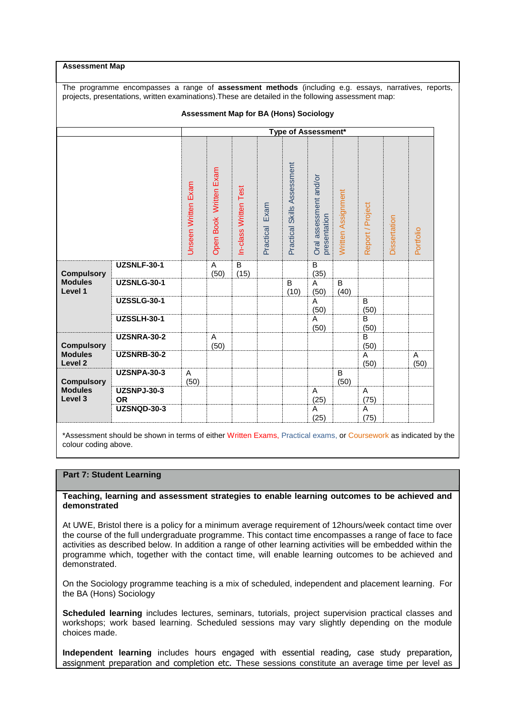**Assessment Map**

The programme encompasses a range of **assessment methods** (including e.g. essays, narratives, reports, projects, presentations, written examinations).These are detailed in the following assessment map:

|                                                           | <b>Assessment Map for BA (Hons) Sociology</b> |                            |                        |                        |                   |                             |                                        |                    |                        |              |           |
|-----------------------------------------------------------|-----------------------------------------------|----------------------------|------------------------|------------------------|-------------------|-----------------------------|----------------------------------------|--------------------|------------------------|--------------|-----------|
|                                                           |                                               | <b>Type of Assessment*</b> |                        |                        |                   |                             |                                        |                    |                        |              |           |
|                                                           |                                               | <b>Jnseen Written Exam</b> | Open Book Written Exam | In-class Written Test  | Exam<br>Practical | Practical Skills Assessment | Oral assessment and/or<br>presentation | Written Assignment | Report / Project       | Dissertation | Portfolio |
| <b>Compulsory</b><br><b>Modules</b><br>Level 1            | <b>UZSNLF-30-1</b>                            |                            | A<br>(50)              | $\overline{B}$<br>(15) |                   |                             | $\overline{B}$<br>(35)                 |                    |                        |              |           |
|                                                           | <b>UZSNLG-30-1</b>                            |                            |                        |                        |                   | B<br>(10)                   | A<br>(50)                              | B<br>(40)          |                        |              |           |
|                                                           | <b>UZSSLG-30-1</b>                            |                            |                        |                        |                   |                             | A<br>(50)                              |                    | $\overline{B}$<br>(50) |              |           |
|                                                           | <b>UZSSLH-30-1</b>                            |                            |                        |                        |                   |                             | Α<br>(50)                              |                    | B<br>(50)              |              |           |
| <b>Compulsory</b><br><b>Modules</b><br>Level <sub>2</sub> | <b>UZSNRA-30-2</b>                            |                            | A<br>(50)              |                        |                   |                             |                                        |                    | B<br>(50)              |              |           |
|                                                           | <b>UZSNRB-30-2</b>                            |                            |                        |                        |                   |                             |                                        |                    | A<br>(50)              |              | A<br>(50) |
| <b>Compulsory</b><br><b>Modules</b><br>Level 3            | <b>UZSNPA-30-3</b>                            | A<br>(50)                  |                        |                        |                   |                             |                                        | B<br>(50)          |                        |              |           |
|                                                           | <b>UZSNPJ-30-3</b><br><b>OR</b>               |                            |                        |                        |                   |                             | A<br>(25)                              |                    | A<br>(75)              |              |           |
|                                                           | <b>UZSNQD-30-3</b>                            |                            |                        |                        |                   |                             | A<br>(25)                              |                    | $\overline{A}$<br>(75) |              |           |

\*Assessment should be shown in terms of either Written Exams, Practical exams, or Coursework as indicated by the colour coding above.

#### **Part 7: Student Learning**

#### **Teaching, learning and assessment strategies to enable learning outcomes to be achieved and demonstrated**

At UWE, Bristol there is a policy for a minimum average requirement of 12hours/week contact time over the course of the full undergraduate programme. This contact time encompasses a range of face to face activities as described below. In addition a range of other learning activities will be embedded within the programme which, together with the contact time, will enable learning outcomes to be achieved and demonstrated.

On the Sociology programme teaching is a mix of scheduled, independent and placement learning. For the BA (Hons) Sociology

**Scheduled learning** includes lectures, seminars, tutorials, project supervision practical classes and workshops; work based learning. Scheduled sessions may vary slightly depending on the module choices made.

**Independent learning** includes hours engaged with essential reading, case study preparation, assignment preparation and completion etc. These sessions constitute an average time per level as